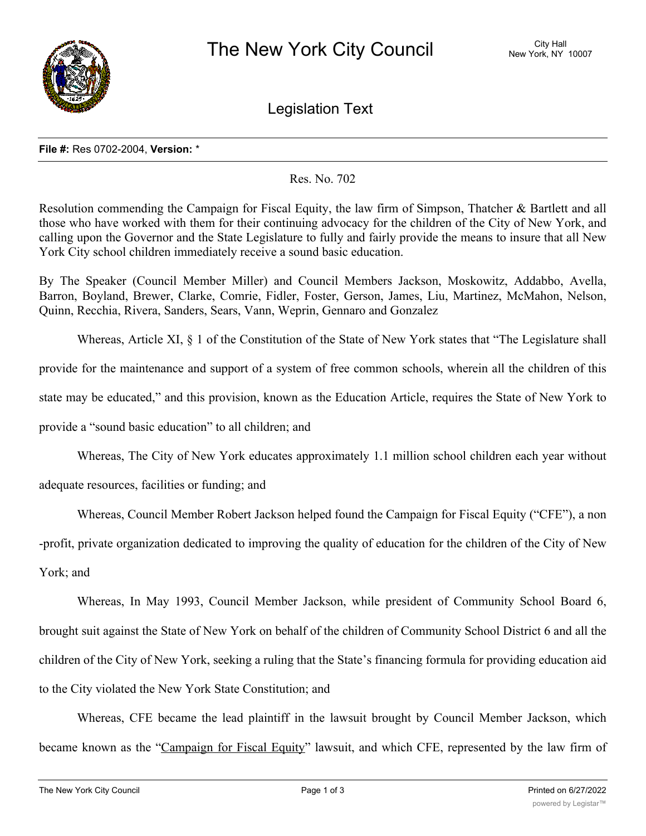

Legislation Text

## **File #:** Res 0702-2004, **Version:** \*

## Res. No. 702

Resolution commending the Campaign for Fiscal Equity, the law firm of Simpson, Thatcher & Bartlett and all those who have worked with them for their continuing advocacy for the children of the City of New York, and calling upon the Governor and the State Legislature to fully and fairly provide the means to insure that all New York City school children immediately receive a sound basic education.

By The Speaker (Council Member Miller) and Council Members Jackson, Moskowitz, Addabbo, Avella, Barron, Boyland, Brewer, Clarke, Comrie, Fidler, Foster, Gerson, James, Liu, Martinez, McMahon, Nelson, Quinn, Recchia, Rivera, Sanders, Sears, Vann, Weprin, Gennaro and Gonzalez

Whereas, Article XI, § 1 of the Constitution of the State of New York states that "The Legislature shall provide for the maintenance and support of a system of free common schools, wherein all the children of this state may be educated," and this provision, known as the Education Article, requires the State of New York to provide a "sound basic education" to all children; and

Whereas, The City of New York educates approximately 1.1 million school children each year without

adequate resources, facilities or funding; and

Whereas, Council Member Robert Jackson helped found the Campaign for Fiscal Equity ("CFE"), a non

-profit, private organization dedicated to improving the quality of education for the children of the City of New York; and

Whereas, In May 1993, Council Member Jackson, while president of Community School Board 6, brought suit against the State of New York on behalf of the children of Community School District 6 and all the children of the City of New York, seeking a ruling that the State's financing formula for providing education aid to the City violated the New York State Constitution; and

Whereas, CFE became the lead plaintiff in the lawsuit brought by Council Member Jackson, which became known as the "Campaign for Fiscal Equity" lawsuit, and which CFE, represented by the law firm of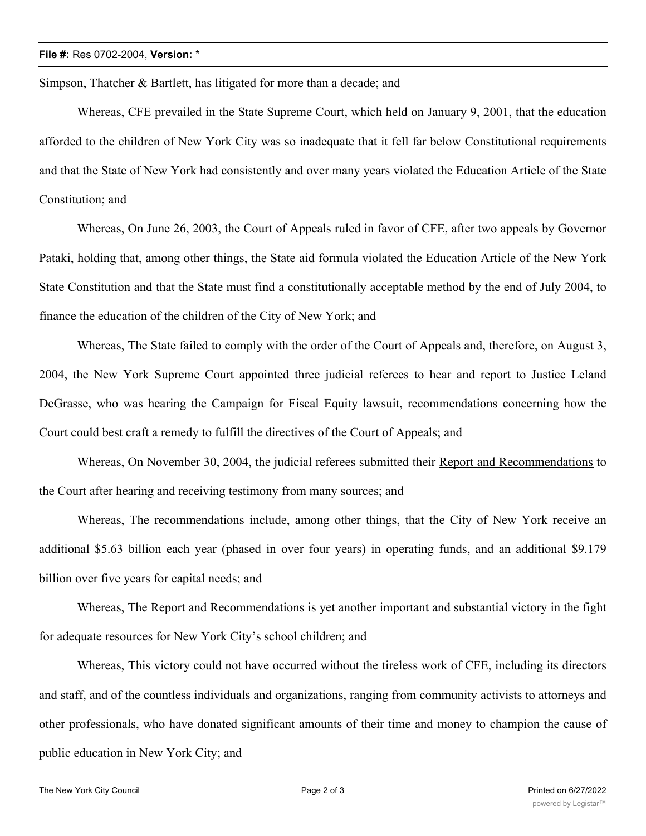Simpson, Thatcher & Bartlett, has litigated for more than a decade; and

Whereas, CFE prevailed in the State Supreme Court, which held on January 9, 2001, that the education afforded to the children of New York City was so inadequate that it fell far below Constitutional requirements and that the State of New York had consistently and over many years violated the Education Article of the State Constitution; and

Whereas, On June 26, 2003, the Court of Appeals ruled in favor of CFE, after two appeals by Governor Pataki, holding that, among other things, the State aid formula violated the Education Article of the New York State Constitution and that the State must find a constitutionally acceptable method by the end of July 2004, to finance the education of the children of the City of New York; and

Whereas, The State failed to comply with the order of the Court of Appeals and, therefore, on August 3, 2004, the New York Supreme Court appointed three judicial referees to hear and report to Justice Leland DeGrasse, who was hearing the Campaign for Fiscal Equity lawsuit, recommendations concerning how the Court could best craft a remedy to fulfill the directives of the Court of Appeals; and

Whereas, On November 30, 2004, the judicial referees submitted their Report and Recommendations to the Court after hearing and receiving testimony from many sources; and

Whereas, The recommendations include, among other things, that the City of New York receive an additional \$5.63 billion each year (phased in over four years) in operating funds, and an additional \$9.179 billion over five years for capital needs; and

Whereas, The Report and Recommendations is yet another important and substantial victory in the fight for adequate resources for New York City's school children; and

Whereas, This victory could not have occurred without the tireless work of CFE, including its directors and staff, and of the countless individuals and organizations, ranging from community activists to attorneys and other professionals, who have donated significant amounts of their time and money to champion the cause of public education in New York City; and